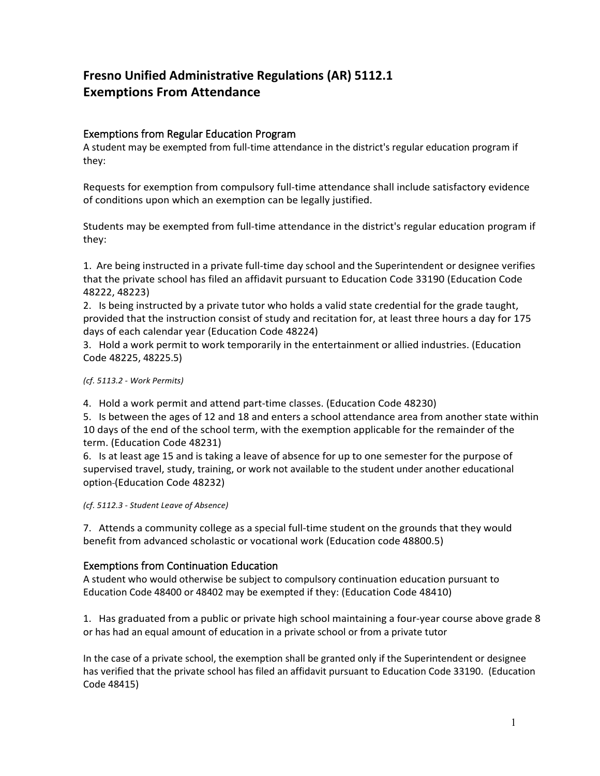## **Fresno Unified Administrative Regulations (AR) 5112.1 Exemptions From Attendance**

## Exemptions from Regular Education Program

A student may be exempted from full-time attendance in the district's regular education program if they:

Requests for exemption from compulsory full-time attendance shall include satisfactory evidence of conditions upon which an exemption can be legally justified.

Students may be exempted from full-time attendance in the district's regular education program if they:

1. Are being instructed in a private full-time day school and the Superintendent or designee verifies that the private school has filed an affidavit pursuant to Education Code 33190 (Education Code 48222, 48223)

2. Is being instructed by a private tutor who holds a valid state credential for the grade taught, provided that the instruction consist of study and recitation for, at least three hours a day for 175 days of each calendar year (Education Code 48224)

3. Hold a work permit to work temporarily in the entertainment or allied industries. (Education Code 48225, 48225.5)

*(cf. 5113.2 - Work Permits)*

4. Hold a work permit and attend part-time classes. (Education Code 48230)

5. Is between the ages of 12 and 18 and enters a school attendance area from another state within 10 days of the end of the school term, with the exemption applicable for the remainder of the term. (Education Code 48231)

6. Is at least age 15 and is taking a leave of absence for up to one semester for the purpose of supervised travel, study, training, or work not available to the student under another educational option (Education Code 48232)

*(cf. 5112.3 - Student Leave of Absence)*

7. Attends a community college as a special full-time student on the grounds that they would benefit from advanced scholastic or vocational work (Education code 48800.5)

## Exemptions from Continuation Education

A student who would otherwise be subject to compulsory continuation education pursuant to Education Code 48400 or 48402 may be exempted if they: (Education Code 48410)

1. Has graduated from a public or private high school maintaining a four-year course above grade 8 or has had an equal amount of education in a private school or from a private tutor

In the case of a private school, the exemption shall be granted only if the Superintendent or designee has verified that the private school has filed an affidavit pursuant to Education Code 33190. (Education Code 48415)